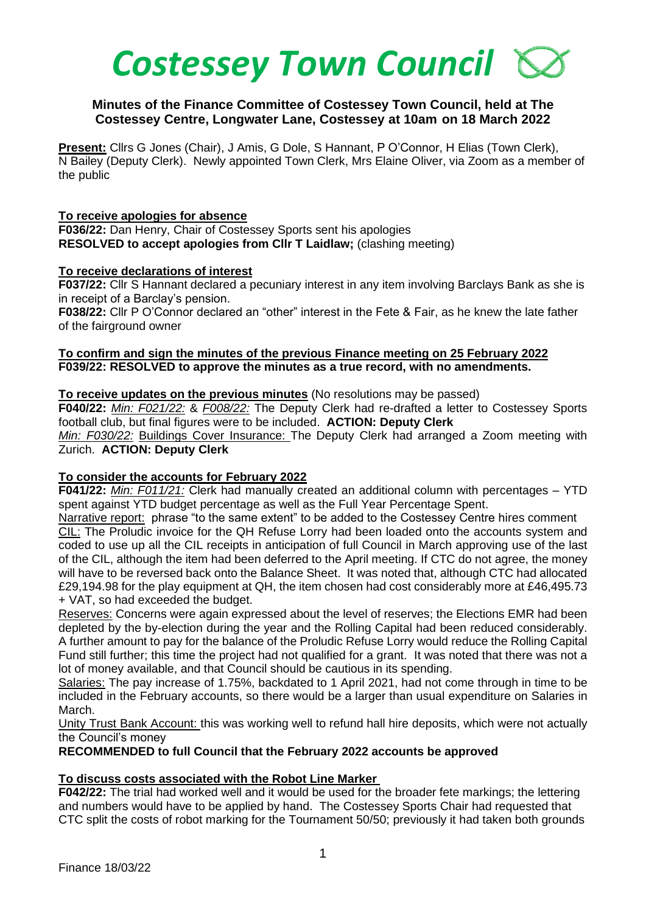# *Costessey Town Council*

# **Minutes of the Finance Committee of Costessey Town Council, held at The Costessey Centre, Longwater Lane, Costessey at 10am on 18 March 2022**

**Present:** Cllrs G Jones (Chair), J Amis, G Dole, S Hannant, P O'Connor, H Elias (Town Clerk), N Bailey (Deputy Clerk). Newly appointed Town Clerk, Mrs Elaine Oliver, via Zoom as a member of the public

#### **To receive apologies for absence**

**F036/22:** Dan Henry, Chair of Costessey Sports sent his apologies **RESOLVED to accept apologies from Cllr T Laidlaw;** (clashing meeting)

## **To receive declarations of interest**

**F037/22:** Cllr S Hannant declared a pecuniary interest in any item involving Barclays Bank as she is in receipt of a Barclay's pension.

**F038/22:** Cllr P O'Connor declared an "other" interest in the Fete & Fair, as he knew the late father of the fairground owner

#### **To confirm and sign the minutes of the previous Finance meeting on 25 February 2022 F039/22: RESOLVED to approve the minutes as a true record, with no amendments.**

**To receive updates on the previous minutes** (No resolutions may be passed)

**F040/22:** *Min: F021/22:* & *F008/22:* The Deputy Clerk had re-drafted a letter to Costessey Sports football club, but final figures were to be included. **ACTION: Deputy Clerk**

*Min: F030/22:* Buildings Cover Insurance: The Deputy Clerk had arranged a Zoom meeting with Zurich. **ACTION: Deputy Clerk**

## **To consider the accounts for February 2022**

**F041/22:** *Min: F011/21:* Clerk had manually created an additional column with percentages – YTD spent against YTD budget percentage as well as the Full Year Percentage Spent.

Narrative report: phrase "to the same extent" to be added to the Costessey Centre hires comment CIL: The Proludic invoice for the QH Refuse Lorry had been loaded onto the accounts system and coded to use up all the CIL receipts in anticipation of full Council in March approving use of the last of the CIL, although the item had been deferred to the April meeting. If CTC do not agree, the money will have to be reversed back onto the Balance Sheet. It was noted that, although CTC had allocated £29,194.98 for the play equipment at QH, the item chosen had cost considerably more at £46,495.73 + VAT, so had exceeded the budget.

Reserves: Concerns were again expressed about the level of reserves; the Elections EMR had been depleted by the by-election during the year and the Rolling Capital had been reduced considerably. A further amount to pay for the balance of the Proludic Refuse Lorry would reduce the Rolling Capital Fund still further; this time the project had not qualified for a grant. It was noted that there was not a lot of money available, and that Council should be cautious in its spending.

Salaries: The pay increase of 1.75%, backdated to 1 April 2021, had not come through in time to be included in the February accounts, so there would be a larger than usual expenditure on Salaries in March.

Unity Trust Bank Account: this was working well to refund hall hire deposits, which were not actually the Council's money

**RECOMMENDED to full Council that the February 2022 accounts be approved** 

## **To discuss costs associated with the Robot Line Marker**

**F042/22:** The trial had worked well and it would be used for the broader fete markings; the lettering and numbers would have to be applied by hand. The Costessey Sports Chair had requested that CTC split the costs of robot marking for the Tournament 50/50; previously it had taken both grounds